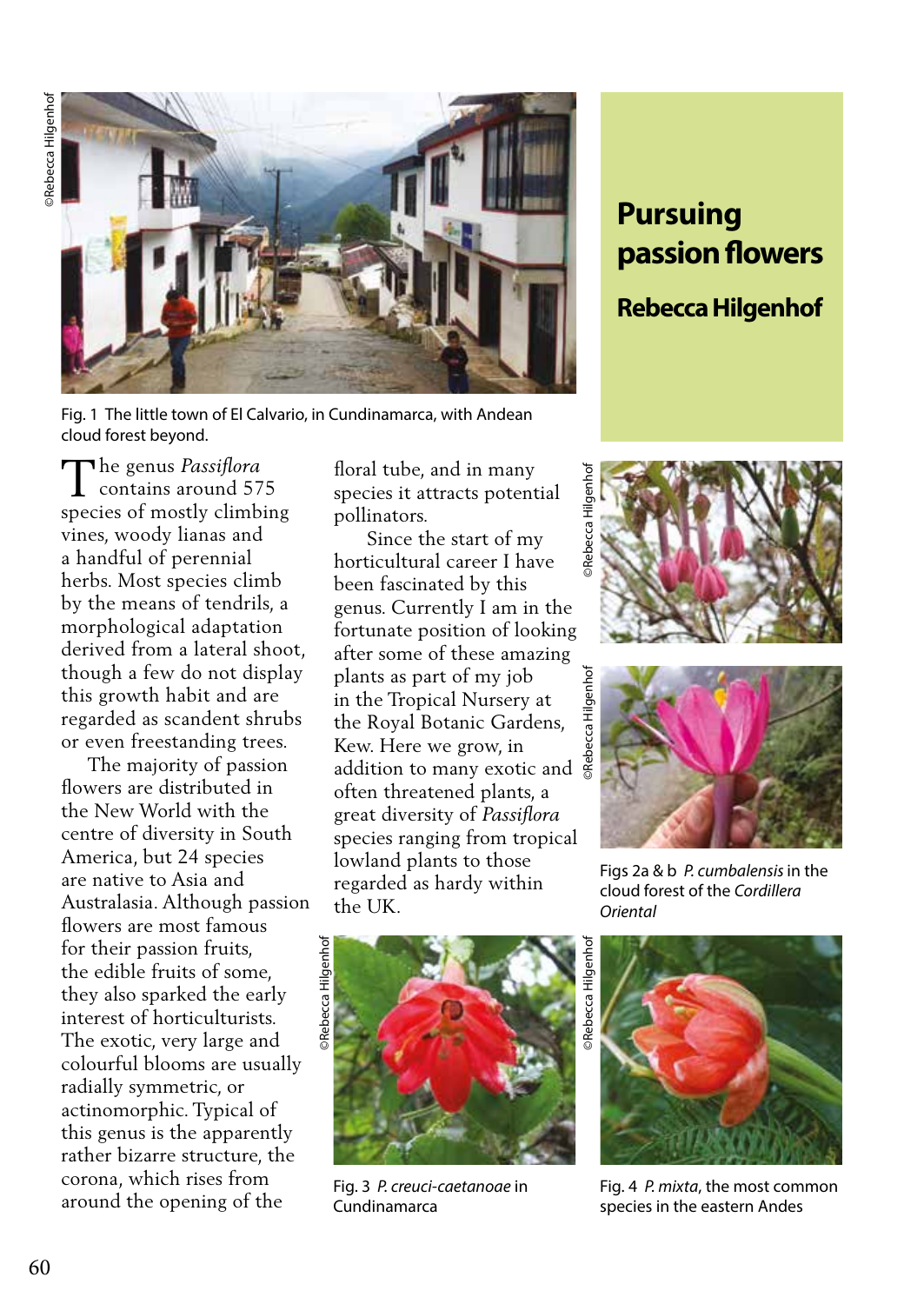

Fig. 1 The little town of El Calvario, in Cundinamarca, with Andean cloud forest beyond.

The genus *Passiflora*<br>
contains around 57 contains around 575 species of mostly climbing vines, woody lianas and a handful of perennial herbs. Most species climb by the means of tendrils, a morphological adaptation derived from a lateral shoot, though a few do not display this growth habit and are regarded as scandent shrubs or even freestanding trees.

 The majority of passion flowers are distributed in the New World with the centre of diversity in South America, but 24 species are native to Asia and Australasia. Although passion flowers are most famous for their passion fruits, the edible fruits of some, they also sparked the early interest of horticulturists. The exotic, very large and colourful blooms are usually radially symmetric, or actinomorphic. Typical of this genus is the apparently rather bizarre structure, the corona, which rises from around the opening of the

floral tube, and in many species it attracts potential pollinators.

 Since the start of my horticultural career I have been fascinated by this genus. Currently I am in the fortunate position of looking after some of these amazing plants as part of my job in the Tropical Nursery at the Royal Botanic Gardens, Kew. Here we grow, in addition to many exotic and often threatened plants, a great diversity of *Passiflora* species ranging from tropical lowland plants to those regarded as hardy within the UK.



Fig. 3 *P. creuci-caetanoae* in Cundinamarca

## **Pursuing passion flowers**

## **Rebecca Hilgenhof**





Figs 2a & b *P. cumbalensis* in the cloud forest of the *Cordillera Oriental* 



Fig. 4 *P. mixta*, the most common species in the eastern Andes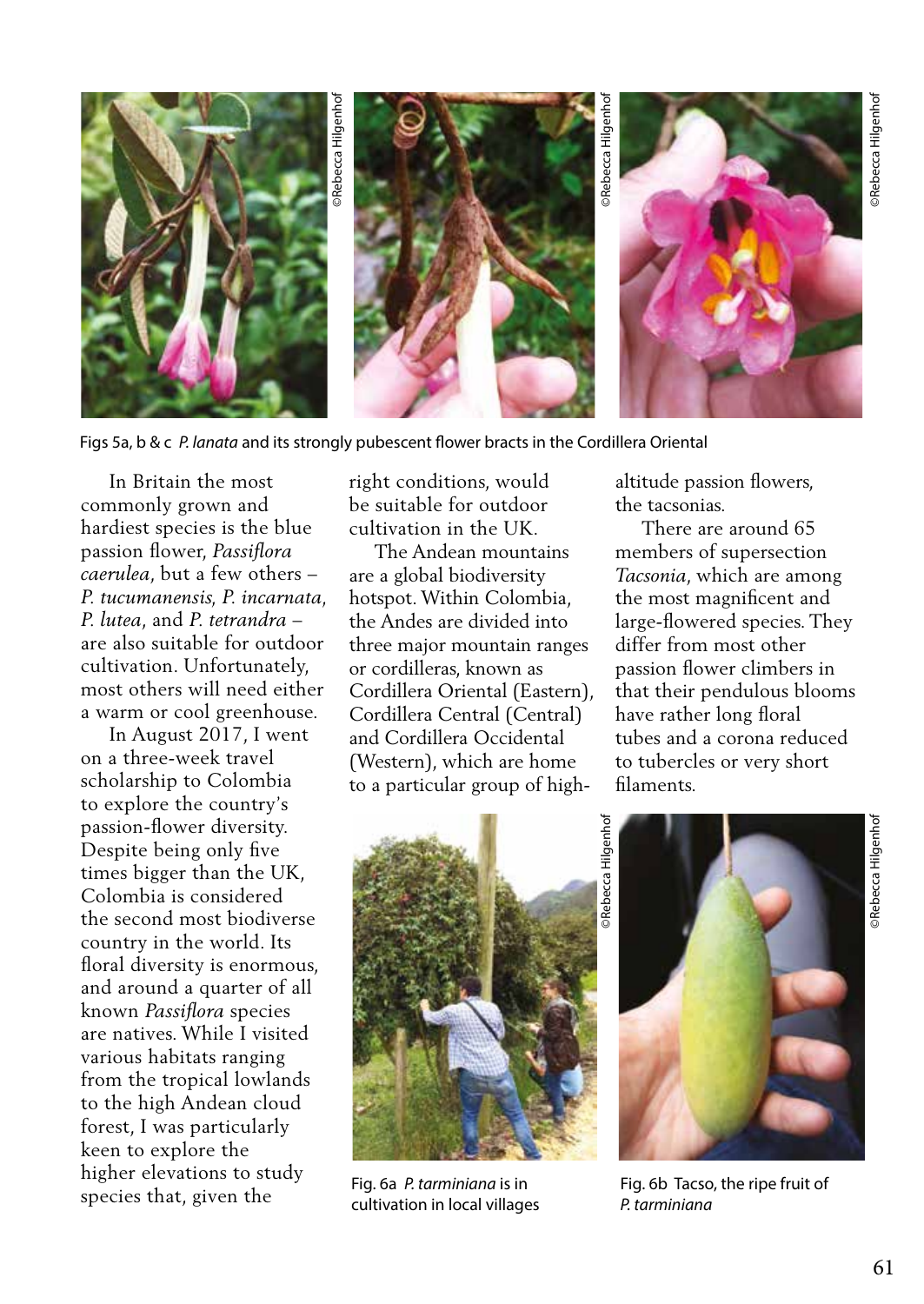

Figs 5a, b & c *P. lanata* and its strongly pubescent flower bracts in the Cordillera Oriental

 In Britain the most commonly grown and hardiest species is the blue passion flower, *Passiflora caerulea*, but a few others – *P. tucumanensis, P. incarnata, P. lutea*, and *P. tetrandra* – are also suitable for outdoor cultivation. Unfortunately, most others will need either a warm or cool greenhouse.

 In August 2017, I went on a three-week travel scholarship to Colombia to explore the country's passion-flower diversity. Despite being only five times bigger than the UK, Colombia is considered the second most biodiverse country in the world. Its floral diversity is enormous, and around a quarter of all known *Passiflora* species are natives. While I visited various habitats ranging from the tropical lowlands to the high Andean cloud forest, I was particularly keen to explore the higher elevations to study species that, given the

right conditions, would be suitable for outdoor cultivation in the UK.

 The Andean mountains are a global biodiversity hotspot. Within Colombia, the Andes are divided into three major mountain ranges or cordilleras, known as Cordillera Oriental (Eastern), Cordillera Central (Central) and Cordillera Occidental (Western), which are home to a particular group of highaltitude passion flowers, the tacsonias.

 There are around 65 members of supersection *Tacsonia*, which are among the most magnificent and large-flowered species. They differ from most other passion flower climbers in that their pendulous blooms have rather long floral tubes and a corona reduced to tubercles or very short filaments.



Fig. 6a *P. tarminiana* is in cultivation in local villages



Fig. 6b Tacso, the ripe fruit of *P. tarminiana*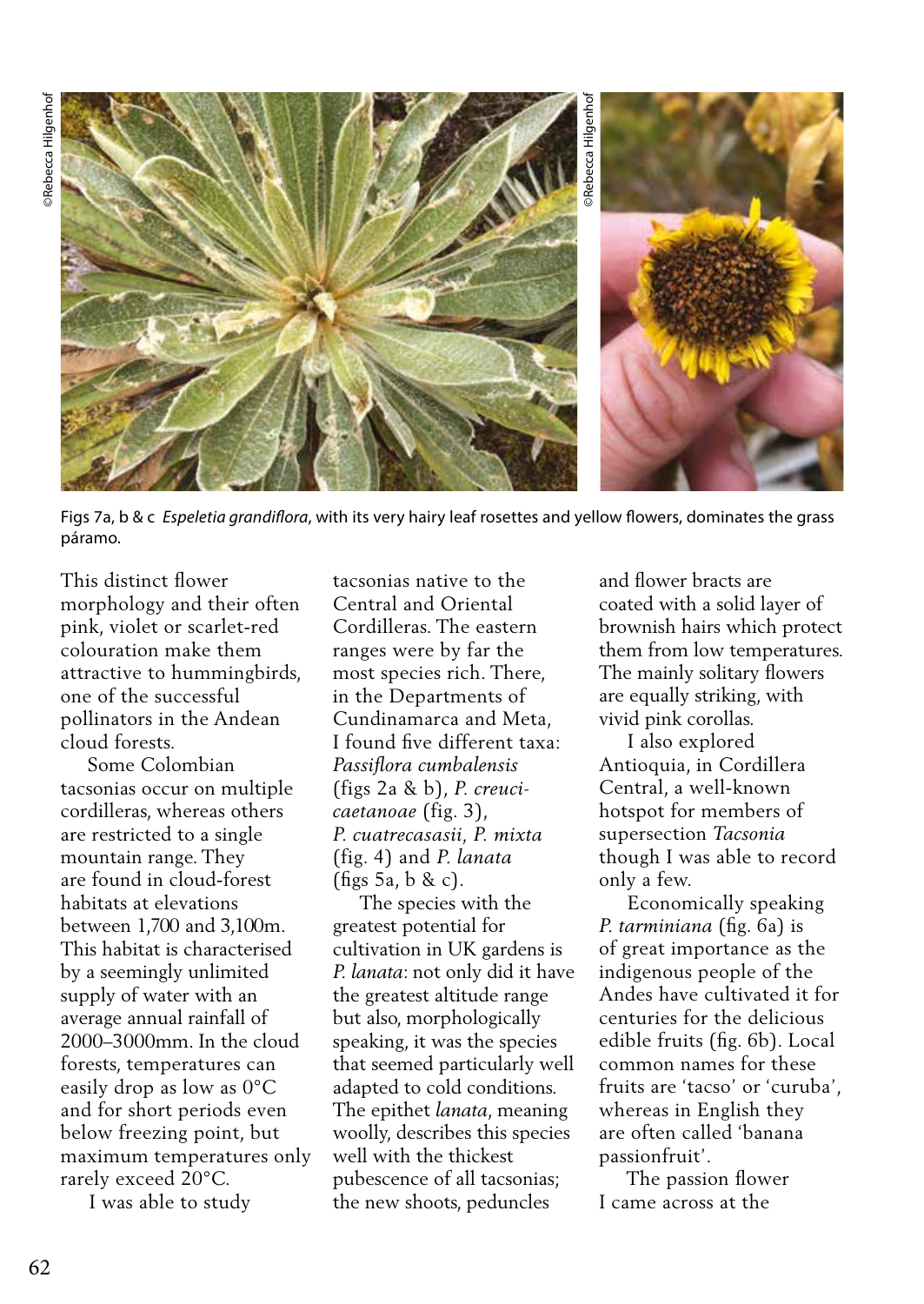

Figs 7a, b & c *Espeletia grandiflora*, with its very hairy leaf rosettes and yellow flowers, dominates the grass páramo.

This distinct flower morphology and their often pink, violet or scarlet-red colouration make them attractive to hummingbirds, one of the successful pollinators in the Andean cloud forests.

 Some Colombian tacsonias occur on multiple cordilleras, whereas others are restricted to a single mountain range. They are found in cloud-forest habitats at elevations between 1,700 and 3,100m. This habitat is characterised by a seemingly unlimited supply of water with an average annual rainfall of 2000–3000mm. In the cloud forests, temperatures can easily drop as low as 0°C and for short periods even below freezing point, but maximum temperatures only rarely exceed 20°C.

I was able to study

tacsonias native to the Central and Oriental Cordilleras. The eastern ranges were by far the most species rich. There, in the Departments of Cundinamarca and Meta, I found five different taxa: *Passiflora cumbalensis* (figs 2a & b), *P. creucicaetanoae* (fig. 3), *P. cuatrecasasii, P. mixta* (fig. 4) and *P. lanata* (figs 5a, b & c).

 The species with the greatest potential for cultivation in UK gardens is *P. lanata*: not only did it have the greatest altitude range but also, morphologically speaking, it was the species that seemed particularly well adapted to cold conditions. The epithet *lanata*, meaning woolly, describes this species well with the thickest pubescence of all tacsonias; the new shoots, peduncles

and flower bracts are coated with a solid layer of brownish hairs which protect them from low temperatures. The mainly solitary flowers are equally striking, with vivid pink corollas.

 I also explored Antioquia, in Cordillera Central, a well-known hotspot for members of supersection *Tacsonia* though I was able to record only a few.

 Economically speaking *P. tarminiana* (fig. 6a) is of great importance as the indigenous people of the Andes have cultivated it for centuries for the delicious edible fruits (fig. 6b). Local common names for these fruits are 'tacso' or 'curuba', whereas in English they are often called 'banana passionfruit'.

 The passion flower I came across at the